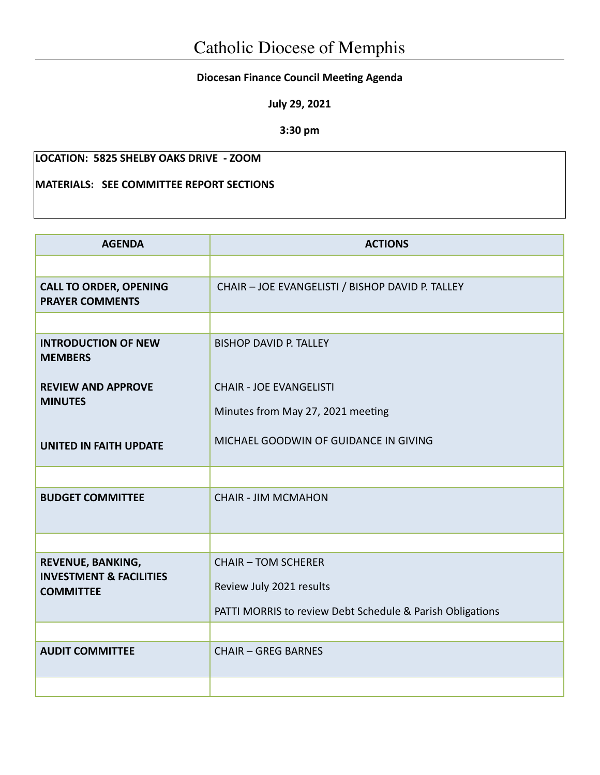## **Diocesan Finance Council Meeting Agenda**

**July 29, 2021**

**3:30 pm**

## **LOCATION: 5825 SHELBY OAKS DRIVE - ZOOM**

## **MATERIALS: SEE COMMITTEE REPORT SECTIONS**

| <b>AGENDA</b>                                           | <b>ACTIONS</b>                                            |  |  |
|---------------------------------------------------------|-----------------------------------------------------------|--|--|
|                                                         |                                                           |  |  |
| <b>CALL TO ORDER, OPENING</b><br><b>PRAYER COMMENTS</b> | CHAIR - JOE EVANGELISTI / BISHOP DAVID P. TALLEY          |  |  |
|                                                         |                                                           |  |  |
| <b>INTRODUCTION OF NEW</b><br><b>MEMBERS</b>            | <b>BISHOP DAVID P. TALLEY</b>                             |  |  |
| <b>REVIEW AND APPROVE</b>                               | <b>CHAIR - JOE EVANGELISTI</b>                            |  |  |
| <b>MINUTES</b>                                          | Minutes from May 27, 2021 meeting                         |  |  |
| <b>UNITED IN FAITH UPDATE</b>                           | MICHAEL GOODWIN OF GUIDANCE IN GIVING                     |  |  |
|                                                         |                                                           |  |  |
| <b>BUDGET COMMITTEE</b>                                 | <b>CHAIR - JIM MCMAHON</b>                                |  |  |
|                                                         |                                                           |  |  |
| REVENUE, BANKING,<br><b>INVESTMENT &amp; FACILITIES</b> | <b>CHAIR - TOM SCHERER</b>                                |  |  |
| <b>COMMITTEE</b>                                        | Review July 2021 results                                  |  |  |
|                                                         | PATTI MORRIS to review Debt Schedule & Parish Obligations |  |  |
|                                                         |                                                           |  |  |
| <b>AUDIT COMMITTEE</b>                                  | <b>CHAIR - GREG BARNES</b>                                |  |  |
|                                                         |                                                           |  |  |